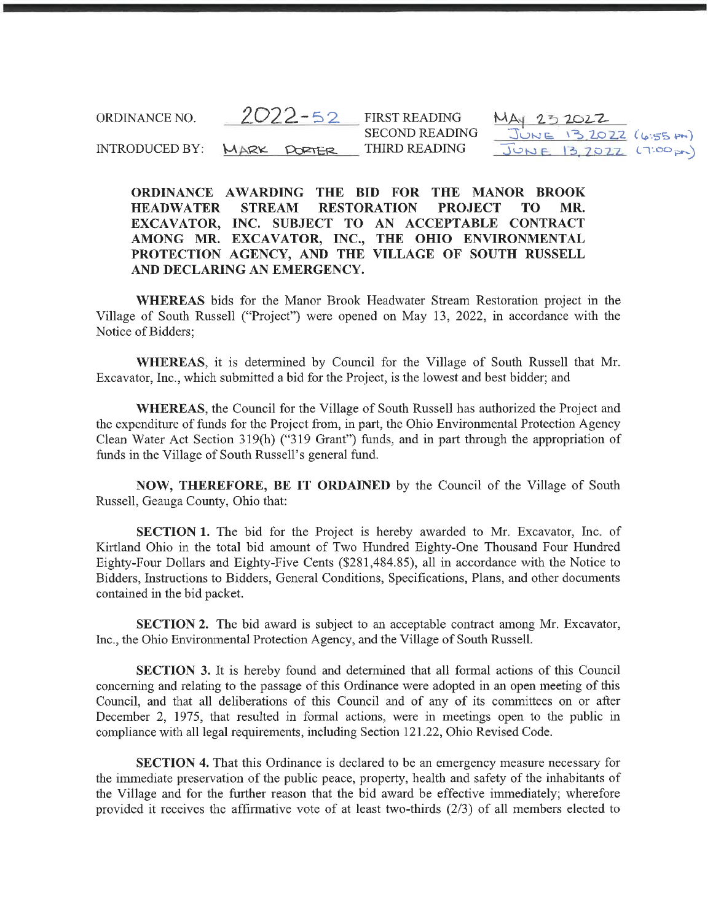ORDINANCE NO.  $2022 - 52$ INTRODUCED BY: MARK PORTER FIRST READING SECOND READING THIRD READING  $MA<sub>1</sub>2$  $J_{\text{UNE}}$  13 2022 (6:55 pm)  $J$ 202-Z- 13, 2022 (6:55 pm)<br>13, 2022 (7:00 pm)

ORDINANCE AWARDING THE BID FOR THE MANOR BROOK HEADWATER STREAM RESTORATION PROJECT TO MR. EXCAVATOR, INC. SUBJECT TO AN ACCEPTABLE CONTRACT AMONG MR. EXCAVATOR, INC., THE OHIO ENVIRONMENTAL PROTECTION AGENCY, AND THE VILLAGE OF SOUTH RUSSELL AND DECLARING AN EMERGENCY.

WHEREAS bids for the Manor Brook Headwater Stream Restoration project in the Village of South Russell ("Project") were opened on May 13, 2022, in accordance with the Notice of Bidders;

WHEREAS, it is determined by Council for the Village of South Russell that Mr. Excavator, Inc., which submitted a bid for the Project, is the lowest and best bidder; and

WHEREAS, the Council for the Village of South Russell has authorized the Project and the expenditure of funds for the Project from, in part, the Ohio Environmental Protection Agency Clean Water Act Section 319(h) ("319 Grant") funds, and in part through the appropriation of funds in the Village of South Russell's general fund.

NOW, THEREFORE, BE IT ORDAINED by the Council of the Village of South Russell, Geauga County, Ohio that:

SECTION 1. The bid for the Project is hereby awarded to Mr. Excavator, Inc. of Kirtland Ohio in the total bid amount of Two Hundred Eighty-One Thousand Four Hundred Eighty-Four Dollars and Eighty-Five Cents (\$281, 484. 85), all in accordance with the Notice to Bidders, Instructions to Bidders, General Conditions, Specifications, Plans, and other documents contained in the bid packet.

SECTION 2. The bid award is subject to an acceptable contract among Mr. Excavator, Inc., the Ohio Environmental Protection Agency, and the Village of South Russell.

SECTION 3. It is hereby found and determined that all formal actions of this Council concerning and relating to the passage of this Ordinance were adopted in an open meeting of this Council, and that all deliberations of this Council and of any of its committees on or after December 2, 1975, that resulted in formal actions, were in meetings open to the public in compliance with all legal requirements, including Section 121.22, Ohio Revised Code.

SECTION 4. That this Ordinance is declared to be an emergency measure necessary for the immediate preservation of the public peace, property, health and safety of the inhabitants of the Village and for the further reason that the bid award be effective immediately; wherefore provided it receives the affirmative vote of at least two-thirds (2/3) of all members elected to